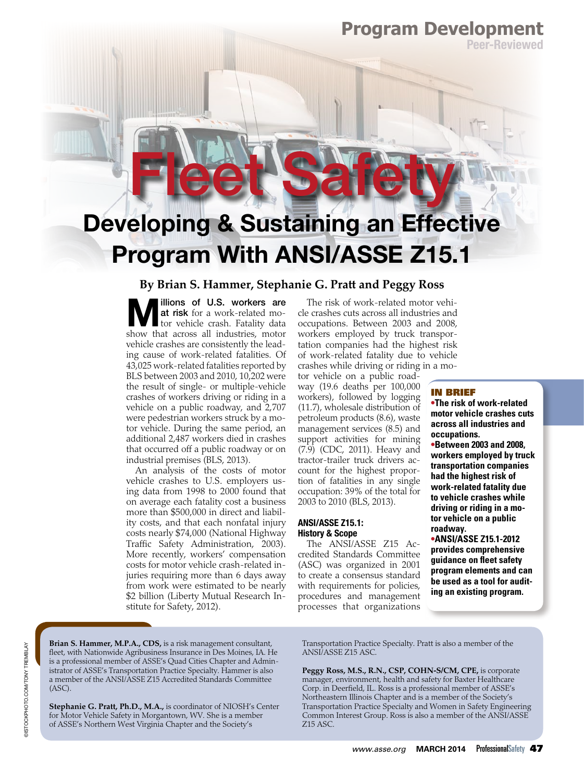### **Program Development**

Peer-Reviewed

# Developing & Sustaining an Effective Program With ANSI/ASSE Z15.1

Fleet Safety!

### **By Brian S. Hammer, Stephanie G. Pratt and Peggy Ross-**

illions of U.S. workers are at risk for a work-related motor vehicle crash. Fatality data show that across all industries, motor vehicle crashes are consistently the leading cause of work-related fatalities. Of 43,025 work-related fatalities reported by BLS between 2003 and 2010, 10,202 were the result of single- or multiple-vehicle crashes of workers driving or riding in a vehicle on a public roadway, and 2,707 were pedestrian workers struck by a motor vehicle. During the same period, an additional 2,487 workers died in crashes that occurred off a public roadway or on industrial premises (BLS, 2013).

An analysis of the costs of motor vehicle crashes to U.S. employers using data from 1998 to 2000 found that on average each fatality cost a business more than \$500,000 in direct and liability costs, and that each nonfatal injury costs nearly \$74,000 (National Highway Traffic Safety Administration, 2003). More recently, workers' compensation costs for motor vehicle crash-related injuries requiring more than 6 days away from work were estimated to be nearly \$2 billion (Liberty Mutual Research Institute for Safety, 2012).

The risk of work-related motor vehicle crashes cuts across all industries and occupations. Between 2003 and 2008, workers employed by truck transportation companies had the highest risk of work-related fatality due to vehicle crashes while driving or riding in a mo-

tor vehicle on a public roadway (19.6 deaths per 100,000 workers), followed by logging (11.7), wholesale distribution of petroleum products (8.6), waste management services (8.5) and support activities for mining (7.9) (CDC, 2011). Heavy and tractor-trailer truck drivers account for the highest proportion of fatalities in any single occupation: 39% of the total for 2003 to 2010 (BLS, 2013).

#### ANSI/ASSE Z15.1: History & Scope

The ANSI/ASSE Z15 Accredited Standards Committee (ASC) was organized in 2001 to create a consensus standard with requirements for policies, procedures and management processes that organizations

#### IN BRIEF

**•The risk of work-related motor vehicle crashes cuts across all industries and occupations.** 

**•Between 2003 and 2008, workers employed by truck transportation companies had the highest risk of work-related fatality due to vehicle crashes while driving or riding in a motor vehicle on a public roadway.** 

**•ANSI/ASSE Z15.1-2012 provides comprehensive guidance on feet safety program elements and can be used as a tool for auditing an existing program.** 

**Brian S. Hammer, M.P.A., CDS,** is a risk management consultant, feet, with Nationwide Agribusiness Insurance in Des Moines, IA. He is a professional member of ASSE's Quad Cities Chapter and Administrator of ASSE's Transportation Practice Specialty. Hammer is also a member of the ANSI/ASSE Z15 Accredited Standards Committee (ASC).

**Stephanie G. Pratt, Ph.D., M.A.,** is coordinator of NIOSH's Center for Motor Vehicle Safety in Morgantown, WV. She is a member of ASSE's Northern West Virginia Chapter and the Society's

Transportation Practice Specialty. Pratt is also a member of the ANSI/ASSE Z15 ASC.

**Peggy Ross, M.S., R.N., CSP, COHN-S/CM, CPE,** is corporate manager, environment, health and safety for Baxter Healthcare Corp. in Deerfield, IL. Ross is a professional member of ASSE's Northeastern Illinois Chapter and is a member of the Society's Transportation Practice Specialty and Women in Safety Engineering Common Interest Group. Ross is also a member of the ANSI/ASSE Z15 ASC.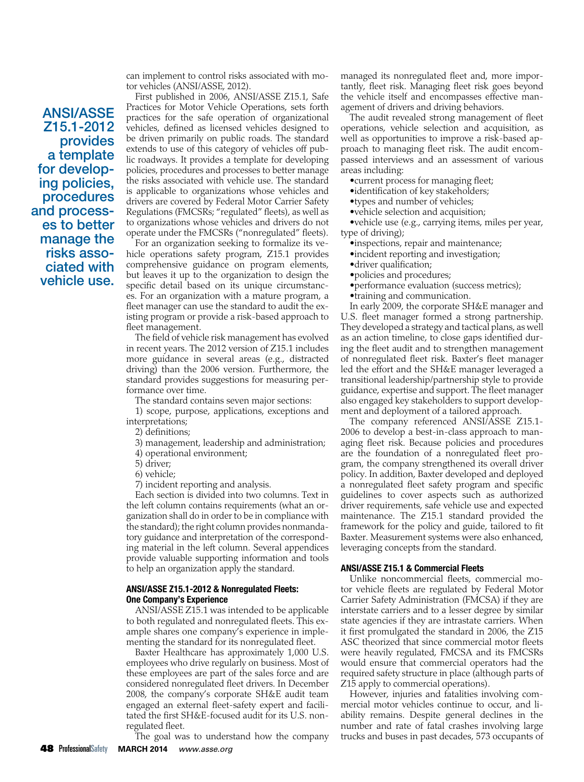can implement to control risks associated with motor vehicles (ANSI/ASSE, 2012).

ANSI/ASSE Z15.1-2012 provides a template for developing policies, procedures and processes to better manage the risks associated with vehicle use.

First published in 2006, ANSI/ASSE Z15.1, Safe Practices for Motor Vehicle Operations, sets forth practices for the safe operation of organizational vehicles, defned as licensed vehicles designed to be driven primarily on public roads. The standard extends to use of this category of vehicles off public roadways. It provides a template for developing policies, procedures and processes to better manage the risks associated with vehicle use. The standard is applicable to organizations whose vehicles and drivers are covered by Federal Motor Carrier Safety Regulations (FMCSRs; "regulated" fleets), as well as to organizations whose vehicles and drivers do not operate under the FMCSRs ("nonregulated" fleets).

For an organization seeking to formalize its vehicle operations safety program, Z15.1 provides comprehensive guidance on program elements, but leaves it up to the organization to design the specifc detail based on its unique circumstances. For an organization with a mature program, a feet manager can use the standard to audit the existing program or provide a risk-based approach to fleet management.

The field of vehicle risk management has evolved in recent years. The 2012 version of Z15.1 includes more guidance in several areas (e.g., distracted driving) than the 2006 version. Furthermore, the standard provides suggestions for measuring performance over time.

The standard contains seven major sections:

1) scope, purpose, applications, exceptions and interpretations;

2) defnitions;

3) management, leadership and administration;

4) operational environment;

- 5) driver;
- 6) vehicle;

7) incident reporting and analysis.

Each section is divided into two columns. Text in the left column contains requirements (what an organization shall do in order to be in compliance with the standard); the right column provides nonmandatory guidance and interpretation of the corresponding material in the left column. Several appendices provide valuable supporting information and tools to help an organization apply the standard.

#### ANSI/ASSE Z15.1-2012 & Nonregulated Fleets: One Company's Experience

ANSI/ASSE Z15.1 was intended to be applicable to both regulated and nonregulated fleets. This example shares one company's experience in implementing the standard for its nonregulated fleet.

Baxter Healthcare has approximately 1,000 U.S. employees who drive regularly on business. Most of these employees are part of the sales force and are considered nonregulated fleet drivers. In December 2008, the company's corporate SH&E audit team engaged an external fleet-safety expert and facilitated the frst SH&E-focused audit for its U.S. nonregulated fleet.

The goal was to understand how the company

The audit revealed strong management of fleet operations, vehicle selection and acquisition, as well as opportunities to improve a risk-based approach to managing fleet risk. The audit encompassed interviews and an assessment of various areas including:

•current process for managing fleet;

- •identification of key stakeholders;
- •types and number of vehicles;
- •vehicle selection and acquisition;

•vehicle use (e.g., carrying items, miles per year, type of driving);

- •inspections, repair and maintenance;
- •incident reporting and investigation;
- •driver qualification;
- •policies and procedures;
- •performance evaluation (success metrics);
- •training and communication.

In early 2009, the corporate SH&E manager and U.S. fleet manager formed a strong partnership. They developed a strategy and tactical plans, as well as an action timeline, to close gaps identifed during the fleet audit and to strengthen management of nonregulated fleet risk. Baxter's fleet manager led the effort and the SH&E manager leveraged a transitional leadership/partnership style to provide guidance, expertise and support. The fleet manager also engaged key stakeholders to support development and deployment of a tailored approach.

 leveraging concepts from the standard. The company referenced ANSI/ASSE Z15.1- 2006 to develop a best-in-class approach to managing fleet risk. Because policies and procedures are the foundation of a nonregulated fleet program, the company strengthened its overall driver policy. In addition, Baxter developed and deployed a nonregulated fleet safety program and specific guidelines to cover aspects such as authorized driver requirements, safe vehicle use and expected maintenance. The Z15.1 standard provided the framework for the policy and guide, tailored to ft Baxter. Measurement systems were also enhanced,

#### ANSI/ASSE Z15.1 & Commercial Fleets

Unlike noncommercial feets, commercial motor vehicle fleets are regulated by Federal Motor Carrier Safety Administration (FMCSA) if they are interstate carriers and to a lesser degree by similar state agencies if they are intrastate carriers. When it first promulgated the standard in 2006, the Z15 ASC theorized that since commercial motor fleets were heavily regulated, FMCSA and its FMCSRs would ensure that commercial operators had the required safety structure in place (although parts of Z15 apply to commercial operations).

However, injuries and fatalities involving commercial motor vehicles continue to occur, and liability remains. Despite general declines in the number and rate of fatal crashes involving large trucks and buses in past decades, 573 occupants of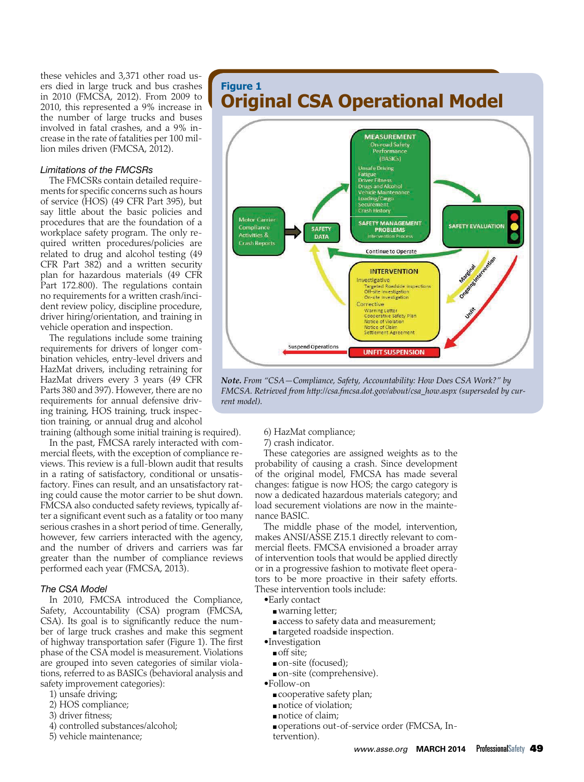these vehicles and 3,371 other road users died in large truck and bus crashes in 2010 (FMCSA, 2012). From 2009 to 2010, this represented a 9% increase in the number of large trucks and buses involved in fatal crashes, and a 9% increase in the rate of fatalities per 100 million miles driven (FMCSA, 2012).

#### *Limitations of the FMCSRs*

The FMCSRs contain detailed requirements for specific concerns such as hours of service (HOS) (49 CFR Part 395), but say little about the basic policies and procedures that are the foundation of a workplace safety program. The only required written procedures/policies are related to drug and alcohol testing (49 CFR Part 382) and a written security plan for hazardous materials (49 CFR Part 172.800). The regulations contain no requirements for a written crash/incident review policy, discipline procedure, driver hiring/orientation, and training in vehicle operation and inspection.

The regulations include some training requirements for drivers of longer combination vehicles, entry-level drivers and HazMat drivers, including retraining for HazMat drivers every 3 years (49 CFR Parts 380 and 397). However, there are no requirements for annual defensive driving training, HOS training, truck inspection training, or annual drug and alcohol training (although some initial training is required).

In the past, FMCSA rarely interacted with commercial fleets, with the exception of compliance reviews. This review is a full-blown audit that results in a rating of satisfactory, conditional or unsatisfactory. Fines can result, and an unsatisfactory rating could cause the motor carrier to be shut down. FMCSA also conducted safety reviews, typically after a signifcant event such as a fatality or too many serious crashes in a short period of time. Generally, however, few carriers interacted with the agency, and the number of drivers and carriers was far greater than the number of compliance reviews performed each year (FMCSA, 2013).

#### *The CSA Model*

In 2010, FMCSA introduced the Compliance, Safety, Accountability (CSA) program (FMCSA, CSA). Its goal is to significantly reduce the number of large truck crashes and make this segment of highway transportation safer (Figure 1). The frst phase of the CSA model is measurement. Violations are grouped into seven categories of similar violations, referred to as BASICs (behavioral analysis and safety improvement categories):

- 1) unsafe driving;
- 2) HOS compliance;
- 3) driver fitness;
- 4) controlled substances/alcohol;
- 5) vehicle maintenance;

### **Figure 1 Original CSA Operational Model**



*Note. From "CSA—Compliance, Safety, Accountability: How Does CSA Work?" by FMCSA. Retrieved from http://csa.fmcsa.dot.gov/about/csa\_how.aspx (superseded by current model).* 

- 6) HazMat compliance;
- 7) crash indicator.

These categories are assigned weights as to the probability of causing a crash. Since development of the original model, FMCSA has made several changes: fatigue is now HOS; the cargo category is now a dedicated hazardous materials category; and load securement violations are now in the maintenance BASIC.

The middle phase of the model, intervention, makes ANSI/ASSE Z15.1 directly relevant to commercial fleets. FMCSA envisioned a broader array of intervention tools that would be applied directly or in a progressive fashion to motivate fleet operators to be more proactive in their safety efforts. These intervention tools include:

- •Early contact
	- warning letter;
	- access to safety data and measurement;
	- targeted roadside inspection.
- •Investigation
	- off site;
	- on-site (focused);
	- on-site (comprehensive).
- •Follow-on
	- cooperative safety plan;
	- notice of violation;
	- notice of claim;
	- operations out-of-service order (FMCSA, Intervention).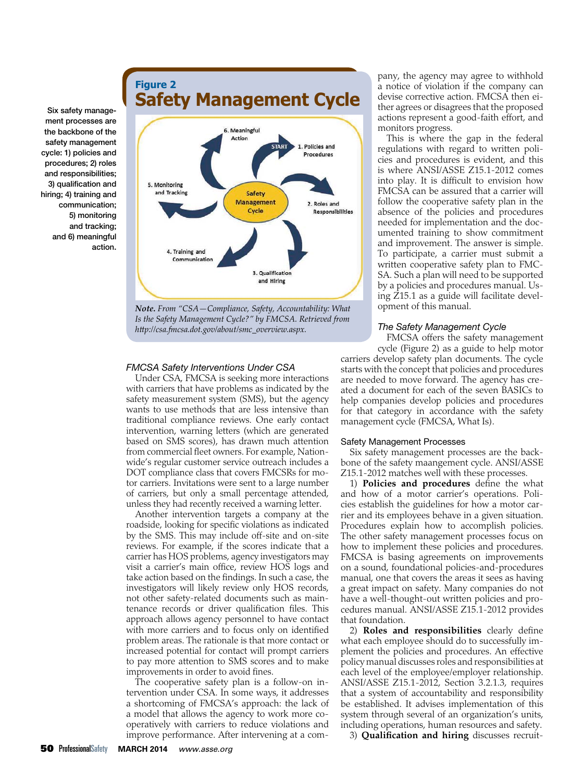### **Figure 2 Safety Management Cycle**



*Note. From "CSA—Compliance, Safety, Accountability: What Is the Safety Management Cycle?" by FMCSA. Retrieved fromhttp://csa.fmcsa.dot.gov/about/smc\_overview.aspx.-*

#### *FMCSA Safety Interventions Under CSA*

Under CSA, FMCSA is seeking more interactions with carriers that have problems as indicated by the safety measurement system (SMS), but the agency wants to use methods that are less intensive than traditional compliance reviews. One early contact intervention, warning letters (which are generated based on SMS scores), has drawn much attention from commercial fleet owners. For example, Nationwide's regular customer service outreach includes a DOT compliance class that covers FMCSRs for motor carriers. Invitations were sent to a large number of carriers, but only a small percentage attended, unless they had recently received a warning letter.

Another intervention targets a company at the roadside, looking for specific violations as indicated by the SMS. This may include off-site and on-site reviews. For example, if the scores indicate that a carrier has HOS problems, agency investigators may visit a carrier's main office, review HOS logs and take action based on the fndings. In such a case, the investigators will likely review only HOS records, not other safety-related documents such as maintenance records or driver qualifcation fles. This approach allows agency personnel to have contact with more carriers and to focus only on identifed problem areas. The rationale is that more contact or increased potential for contact will prompt carriers to pay more attention to SMS scores and to make improvements in order to avoid fnes.

The cooperative safety plan is a follow-on intervention under CSA. In some ways, it addresses a shortcoming of FMCSA's approach: the lack of a model that allows the agency to work more cooperatively with carriers to reduce violations and improve performance. After intervening at a company, the agency may agree to withhold a notice of violation if the company can devise corrective action. FMCSA then either agrees or disagrees that the proposed actions represent a good-faith effort, and monitors progress.

This is where the gap in the federal regulations with regard to written policies and procedures is evident, and this is where ANSI/ASSE Z15.1-2012 comes into play. It is difficult to envision how FMCSA can be assured that a carrier will follow the cooperative safety plan in the absence of the policies and procedures needed for implementation and the documented training to show commitment and improvement. The answer is simple. To participate, a carrier must submit a written cooperative safety plan to FMC-SA. Such a plan will need to be supported by a policies and procedures manual. Using Z15.1 as a guide will facilitate development of this manual.

#### *The Safety Management Cycle*

FMCSA offers the safety management cycle (Figure 2) as a guide to help motor carriers develop safety plan documents. The cycle starts with the concept that policies and procedures are needed to move forward. The agency has created a document for each of the seven BASICs to help companies develop policies and procedures for that category in accordance with the safety management cycle (FMCSA, What Is).

#### Safety Management Processes

Six safety management processes are the backbone of the safety maangement cycle. ANSI/ASSE Z15.1-2012 matches well with these processes.

1) **Policies and procedures** defne the what and how of a motor carrier's operations. Policies establish the guidelines for how a motor carrier and its employees behave in a given situation. Procedures explain how to accomplish policies. The other safety management processes focus on how to implement these policies and procedures. FMCSA is basing agreements on improvements on a sound, foundational policies-and-procedures manual, one that covers the areas it sees as having a great impact on safety. Many companies do not have a well-thought-out written policies and procedures manual. ANSI/ASSE Z15.1-2012 provides that foundation.

2) **Roles and responsibilities** clearly defne what each employee should do to successfully implement the policies and procedures. An effective policy manual discusses roles and responsibilities at each level of the employee/employer relationship. ANSI/ASSE Z15.1-2012, Section 3.2.1.3, requires that a system of accountability and responsibility be established. It advises implementation of this system through several of an organization's units, including operations, human resources and safety.

3) **Qualifcation and hiring** discusses recruit-

ment processes are the backbone of the safety management cycle: 1) policies and procedures; 2) roles and responsibilities; 3) qualification and hiring; 4) training and communication; 5) monitoring and tracking; and 6) meaningful action.

Six safety manage-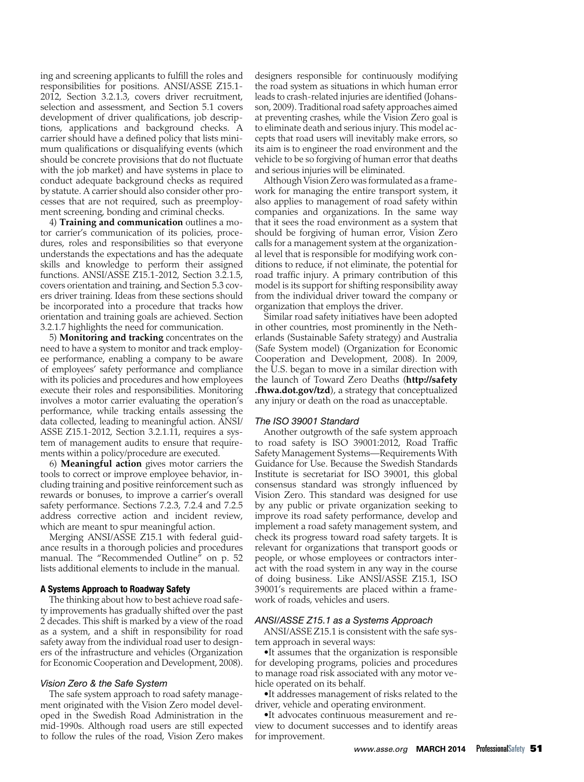ing and screening applicants to fulfll the roles and responsibilities for positions. ANSI/ASSE Z15.1- 2012, Section 3.2.1.3, covers driver recruitment, selection and assessment, and Section 5.1 covers development of driver qualifications, job descriptions, applications and background checks. A carrier should have a defned policy that lists minimum qualifcations or disqualifying events (which should be concrete provisions that do not fuctuate with the job market) and have systems in place to conduct adequate background checks as required by statute. A carrier should also consider other processes that are not required, such as preemployment screening, bonding and criminal checks.

4) **Training and communication** outlines a motor carrier's communication of its policies, procedures, roles and responsibilities so that everyone understands the expectations and has the adequate skills and knowledge to perform their assigned functions. ANSI/ASSE Z15.1-2012, Section 3.2.1.5, covers orientation and training, and Section 5.3 covers driver training. Ideas from these sections should be incorporated into a procedure that tracks how orientation and training goals are achieved. Section 3.2.1.7 highlights the need for communication.

ments within a policy/procedure are executed. 5) **Monitoring and tracking** concentrates on the need to have a system to monitor and track employee performance, enabling a company to be aware of employees' safety performance and compliance with its policies and procedures and how employees execute their roles and responsibilities. Monitoring involves a motor carrier evaluating the operation's performance, while tracking entails assessing the data collected, leading to meaningful action. ANSI/ ASSE Z15.1-2012, Section [3.2.1.11,](https://3.2.1.11) requires a system of management audits to ensure that require-

6) **Meaningful action** gives motor carriers the tools to correct or improve employee behavior, including training and positive reinforcement such as rewards or bonuses, to improve a carrier's overall safety performance. Sections 7.2.3, 7.2.4 and 7.2.5 address corrective action and incident review, which are meant to spur meaningful action.

Merging ANSI/ASSE Z15.1 with federal guidance results in a thorough policies and procedures manual. The "Recommended Outline" on p. 52 lists additional elements to include in the manual.

#### A Systems Approach to Roadway Safety

The thinking about how to best achieve road safety improvements has gradually shifted over the past 2 decades. This shift is marked by a view of the road as a system, and a shift in responsibility for road safety away from the individual road user to designers of the infrastructure and vehicles (Organization for Economic Cooperation and Development, 2008).

#### *Vision Zero & the Safe System*

The safe system approach to road safety management originated with the Vision Zero model developed in the Swedish Road Administration in the mid-1990s. Although road users are still expected to follow the rules of the road, Vision Zero makes designers responsible for continuously modifying the road system as situations in which human error leads to crash-related injuries are identifed (Johansson, 2009). Traditional road safety approaches aimed at preventing crashes, while the Vision Zero goal is to eliminate death and serious injury. This model accepts that road users will inevitably make errors, so its aim is to engineer the road environment and the vehicle to be so forgiving of human error that deaths and serious injuries will be eliminated.

Although Vision Zero was formulated as a framework for managing the entire transport system, it also applies to management of road safety within companies and organizations. In the same way that it sees the road environment as a system that should be forgiving of human error, Vision Zero calls for a management system at the organizational level that is responsible for modifying work conditions to reduce, if not eliminate, the potential for road traffic injury. A primary contribution of this model is its support for shifting responsibility away from the individual driver toward the company or organization that employs the driver.

Similar road safety initiatives have been adopted in other countries, most prominently in the Netherlands (Sustainable Safety strategy) and Australia (Safe System model) (Organization for Economic Cooperation and Development, 2008). In 2009, the U.S. began to move in a similar direction with the launch of Toward Zero Deaths (**<http://safety> .fhwa.dot.gov/tzd**), a strategy that conceptualized any injury or death on the road as unacceptable.

#### *The ISO 39001 Standard*

Another outgrowth of the safe system approach to road safety is ISO 39001:2012, Road Traffic Safety Management Systems—Requirements With Guidance for Use. Because the Swedish Standards Institute is secretariat for ISO 39001, this global consensus standard was strongly infuenced by Vision Zero. This standard was designed for use by any public or private organization seeking to improve its road safety performance, develop and implement a road safety management system, and check its progress toward road safety targets. It is relevant for organizations that transport goods or people, or whose employees or contractors interact with the road system in any way in the course of doing business. Like ANSI/ASSE Z15.1, ISO 39001's requirements are placed within a framework of roads, vehicles and users.

#### *ANSI/ASSE Z15.1 as a Systems Approach*

ANSI/ASSE Z15.1 is consistent with the safe system approach in several ways:

•It assumes that the organization is responsible for developing programs, policies and procedures to manage road risk associated with any motor vehicle operated on its behalf.

•It addresses management of risks related to the driver, vehicle and operating environment.

•It advocates continuous measurement and review to document successes and to identify areas for improvement.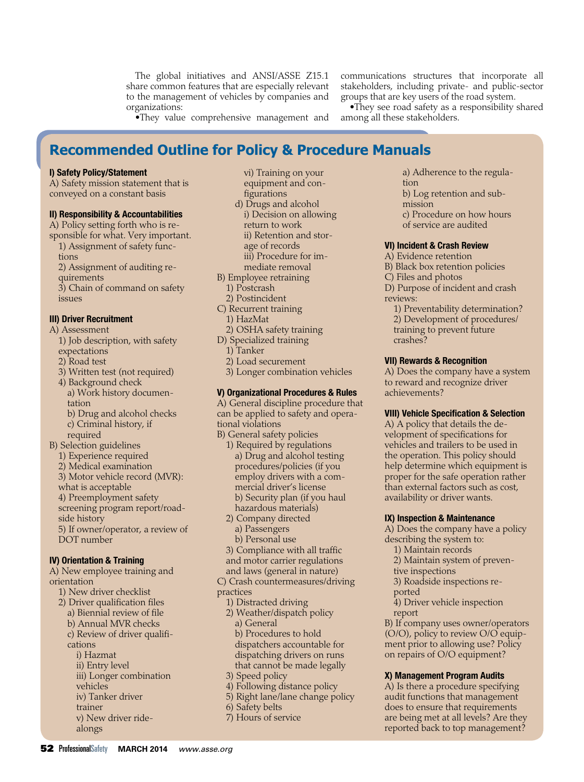The global initiatives and ANSI/ASSE Z15.1 share common features that are especially relevant to the management of vehicles by companies and organizations:

communications structures that incorporate all stakeholders, including private- and public-sector groups that are key users of the road system.

•They value comprehensive management and

•They see road safety as a responsibility shared among all these stakeholders.

### **Recommended Outline for Policy & Procedure Manuals**

#### I) Safety Policy/Statement

A) Safety mission statement that is conveyed on a constant basis

#### II) Responsibility & Accountabilities

- A) Policy setting forth who is responsible for what. Very important.
- 1) Assignment of safety functions
- 2) Assignment of auditing re-
- quirements

3) Chain of command on safety issues

#### III) Driver Recruitment

- A) Assessment
	- 1) Job description, with safety expectations
	- 2) Road test
	- 3) Written test (not required)
	- 4) Background check
	- a) Work history documentation b) Drug and alcohol checks
	- c) Criminal history, if required
- B) Selection guidelines
	- 1) Experience required
	- 2) Medical examination
	- 3) Motor vehicle record (MVR):
	- what is acceptable
	- 4) Preemployment safety
	- screening program report/roadside history
	- 5) If owner/operator, a review of DOT number

- IV) Orientation & Training A) New employee training and orientation
	- 1) New driver checklist
	- 2) Driver qualification files
		- a) Biennial review of fle
		- b) Annual MVR checks
		- c) Review of driver qualifcations
			- i) Hazmat
			- ii) Entry level
			- iii) Longer combination

alongs

- vehicles
- iv) Tanker driver trainer
- v) New driver ride-

equipment and confgurations d) Drugs and alcohol i) Decision on allowing return to work ii) Retention and storage of records iii) Procedure for immediate removal

vi) Training on your

- B) Employee retraining
- 1) Postcrash
- 2) Postincident
- C) Recurrent training
	- 1) HazMat
- 2) OSHA safety training
- D) Specialized training
	- 1) Tanker
	- 2) Load securement
- 3) Longer combination vehicles

#### V) Organizational Procedures & Rules

A) General discipline procedure that can be applied to safety and operational violations

- B) General safety policies 1) Required by regulations
	- a) Drug and alcohol testing procedures/policies (if you employ drivers with a commercial driver's license b) Security plan (if you haul hazardous materials)
	- 2) Company directed a) Passengers
		- b) Personal use
- 3) Compliance with all traffic and motor carrier regulations
- and laws (general in nature)

C) Crash countermeasures/driving practices

- 1) Distracted driving
- 2) Weather/dispatch policy a) General b) Procedures to hold dispatchers accountable for dispatching drivers on runs
- that cannot be made legally 3) Speed policy
- 4) Following distance policy
- 5) Right lane/lane change policy
- 6) Safety belts
- 7) Hours of service

a) Adherence to the regulation

- b) Log retention and submission
- c) Procedure on how hours of service are audited

#### VI) Incident & Crash Review

- A) Evidence retention
- B) Black box retention policies
- C) Files and photos
- D) Purpose of incident and crash reviews:
	- 1) Preventability determination?
	- 2) Development of procedures/
	- training to prevent future crashes?

#### VII) Rewards & Recognition

A) Does the company have a system to reward and recognize driver achievements?

#### **VIII) Vehicle Specification & Selection**

A) A policy that details the development of specifications for vehicles and trailers to be used in the operation. This policy should help determine which equipment is proper for the safe operation rather than external factors such as cost, availability or driver wants.

#### IX) Inspection & Maintenance

A) Does the company have a policy describing the system to:

- 1) Maintain records
- 2) Maintain system of preven-
- tive inspections
- 3) Roadside inspections re-
- ported
- 4) Driver vehicle inspection report

B) If company uses owner/operators (O/O), policy to review O/O equipment prior to allowing use? Policy on repairs of O/O equipment?

#### X) Management Program Audits

A) Is there a procedure specifying audit functions that management does to ensure that requirements are being met at all levels? Are they reported back to top management?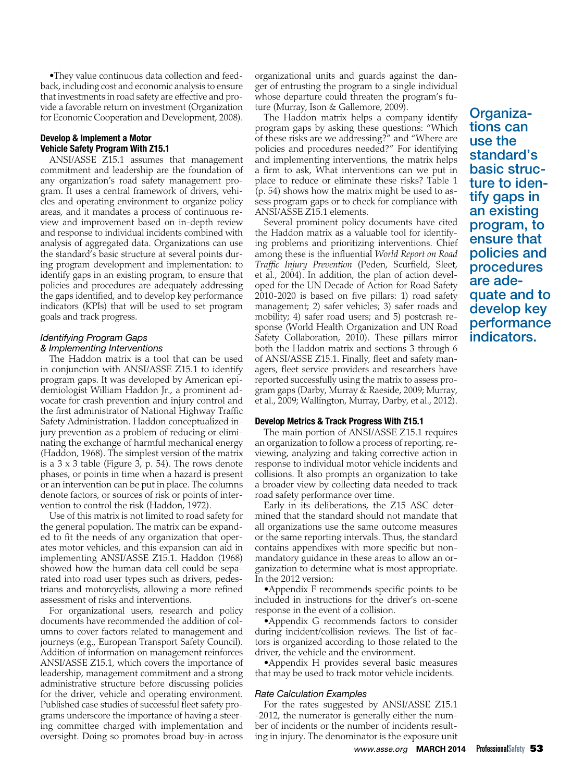•They value continuous data collection and feedback, including cost and economic analysis to ensure that investments in road safety are effective and provide a favorable return on investment (Organization for Economic Cooperation and Development, 2008).

#### Develop & Implement a Motor Vehicle Safety Program With Z15.1

ANSI/ASSE Z15.1 assumes that management commitment and leadership are the foundation of any organization's road safety management program. It uses a central framework of drivers, vehicles and operating environment to organize policy areas, and it mandates a process of continuous review and improvement based on in-depth review and response to individual incidents combined with analysis of aggregated data. Organizations can use the standard's basic structure at several points during program development and implementation: to identify gaps in an existing program, to ensure that policies and procedures are adequately addressing the gaps identifed, and to develop key performance indicators (KPIs) that will be used to set program goals and track progress.

#### *Identifying Program Gaps & Implementing Interventions*

The Haddon matrix is a tool that can be used in conjunction with ANSI/ASSE Z15.1 to identify program gaps. It was developed by American epidemiologist William Haddon Jr., a prominent advocate for crash prevention and injury control and the first administrator of National Highway Traffic Safety Administration. Haddon conceptualized injury prevention as a problem of reducing or eliminating the exchange of harmful mechanical energy (Haddon, 1968). The simplest version of the matrix is a 3 x 3 table (Figure 3, p. 54). The rows denote phases, or points in time when a hazard is present or an intervention can be put in place. The columns denote factors, or sources of risk or points of intervention to control the risk (Haddon, 1972).

Use of this matrix is not limited to road safety for the general population. The matrix can be expanded to fit the needs of any organization that operates motor vehicles, and this expansion can aid in implementing ANSI/ASSE Z15.1. Haddon (1968) showed how the human data cell could be separated into road user types such as drivers, pedestrians and motorcyclists, allowing a more refned assessment of risks and interventions.

For organizational users, research and policy documents have recommended the addition of columns to cover factors related to management and journeys (e.g., European Transport Safety Council). Addition of information on management reinforces ANSI/ASSE Z15.1, which covers the importance of leadership, management commitment and a strong administrative structure before discussing policies for the driver, vehicle and operating environment. Published case studies of successful fleet safety programs underscore the importance of having a steering committee charged with implementation and oversight. Doing so promotes broad buy-in across

organizational units and guards against the danger of entrusting the program to a single individual whose departure could threaten the program's future (Murray, Ison & Gallemore, 2009).

The Haddon matrix helps a company identify program gaps by asking these questions: "Which of these risks are we addressing?" and "Where are policies and procedures needed?" For identifying and implementing interventions, the matrix helps a firm to ask, What interventions can we put in place to reduce or eliminate these risks? Table 1 (p. 54) shows how the matrix might be used to assess program gaps or to check for compliance with ANSI/ASSE Z15.1 elements.

Several prominent policy documents have cited the Haddon matrix as a valuable tool for identifying problems and prioritizing interventions. Chief among these is the infuential *World Report on Road Traffc Injury Prevention* (Peden, Scurfeld, Sleet, et al., 2004). In addition, the plan of action developed for the UN Decade of Action for Road Safety 2010-2020 is based on fve pillars: 1) road safety management; 2) safer vehicles; 3) safer roads and mobility; 4) safer road users; and 5) postcrash response (World Health Organization and UN Road Safety Collaboration, 2010). These pillars mirror both the Haddon matrix and sections 3 through 6 of ANSI/ASSE Z15.1. Finally, feet and safety managers, fleet service providers and researchers have reported successfully using the matrix to assess program gaps (Darby, Murray & Raeside, 2009; Murray, et al., 2009; Wallington, Murray, Darby, et al., 2012).

#### Develop Metrics & Track Progress With Z15.1

The main portion of ANSI/ASSE Z15.1 requires an organization to follow a process of reporting, reviewing, analyzing and taking corrective action in response to individual motor vehicle incidents and collisions. It also prompts an organization to take a broader view by collecting data needed to track road safety performance over time.

Early in its deliberations, the Z15 ASC determined that the standard should not mandate that all organizations use the same outcome measures or the same reporting intervals. Thus, the standard contains appendixes with more specific but nonmandatory guidance in these areas to allow an organization to determine what is most appropriate. In the 2012 version:

•Appendix F recommends specific points to be included in instructions for the driver's on-scene response in the event of a collision.

•Appendix G recommends factors to consider during incident/collision reviews. The list of factors is organized according to those related to the driver, the vehicle and the environment.

•Appendix H provides several basic measures that may be used to track motor vehicle incidents.

#### *Rate Calculation Examples*

For the rates suggested by ANSI/ASSE Z15.1 -2012, the numerator is generally either the number of incidents or the number of incidents resulting in injury. The denominator is the exposure unit Organiza- tions can use the standard's basic struc-<br>ture to iden-<br>tify gaps in an existing program, to ensure that policies and procedures are adequate and to develop key performance indicators.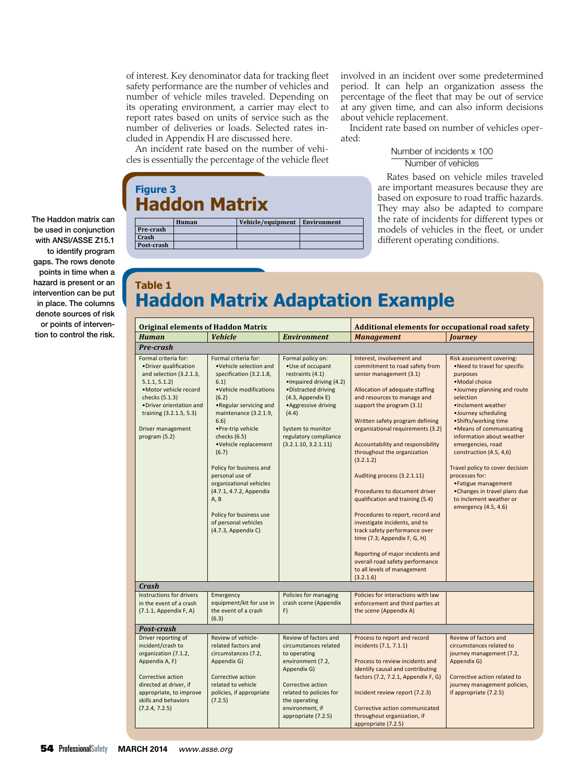of interest. Key denominator data for tracking feet safety performance are the number of vehicles and number of vehicle miles traveled. Depending on its operating environment, a carrier may elect to report rates based on units of service such as the number of deliveries or loads. Selected rates included in Appendix H are discussed here.

An incident rate based on the number of vehicles is essentially the percentage of the vehicle feet

**Haddon Matrix** 

**Figure 3** 

**Pre-‐crash Crash Post-crash** 

involved in an incident over some predetermined period. It can help an organization assess the percentage of the fleet that may be out of service at any given time, and can also inform decisions about vehicle replacement.

Incident rate based on number of vehicles operated:

#### Number of incidents x 100 Number of vehicles

Rates based on vehicle miles traveled are important measures because they are based on exposure to road traffic hazards. They may also be adapted to compare the rate of incidents for different types or models of vehicles in the fleet, or under different operating conditions.

## **Haddon Matrix Adaptation Example Table 1**

**Human Vehicle/equipment Environment**

| <b>Original elements of Haddon Matrix</b>                                                                                                                                                                                        |                                                                                                                                                                                                                                                                                                                                                                                                                                              |                                                                                                                                                                                                                                            | <b>Additional elements for occupational road safety</b>                                                                                                                                                                                                                                                                                                                                                                                                                                                                                                                                                                                                                                                       |                                                                                                                                                                                                                                                                                                                                                                                                                                                                                     |
|----------------------------------------------------------------------------------------------------------------------------------------------------------------------------------------------------------------------------------|----------------------------------------------------------------------------------------------------------------------------------------------------------------------------------------------------------------------------------------------------------------------------------------------------------------------------------------------------------------------------------------------------------------------------------------------|--------------------------------------------------------------------------------------------------------------------------------------------------------------------------------------------------------------------------------------------|---------------------------------------------------------------------------------------------------------------------------------------------------------------------------------------------------------------------------------------------------------------------------------------------------------------------------------------------------------------------------------------------------------------------------------------------------------------------------------------------------------------------------------------------------------------------------------------------------------------------------------------------------------------------------------------------------------------|-------------------------------------------------------------------------------------------------------------------------------------------------------------------------------------------------------------------------------------------------------------------------------------------------------------------------------------------------------------------------------------------------------------------------------------------------------------------------------------|
| <b>Human</b>                                                                                                                                                                                                                     | <b>Vehicle</b>                                                                                                                                                                                                                                                                                                                                                                                                                               | <b>Environment</b>                                                                                                                                                                                                                         | <b>Management</b>                                                                                                                                                                                                                                                                                                                                                                                                                                                                                                                                                                                                                                                                                             | <b>Journey</b>                                                                                                                                                                                                                                                                                                                                                                                                                                                                      |
| Pre-crash                                                                                                                                                                                                                        |                                                                                                                                                                                                                                                                                                                                                                                                                                              |                                                                                                                                                                                                                                            |                                                                                                                                                                                                                                                                                                                                                                                                                                                                                                                                                                                                                                                                                                               |                                                                                                                                                                                                                                                                                                                                                                                                                                                                                     |
| Formal criteria for:<br>•Driver qualification<br>and selection (3.2.1.3,<br>5.1.1, 5.1.2<br>·Motor vehicle record<br>checks (5.1.3)<br>. Driver orientation and<br>training (3.2.1.5, 5.3)<br>Driver management<br>program (5.2) | Formal criteria for:<br>.Vehicle selection and<br>specification (3.2.1.8,<br>6.1)<br>.Vehicle modifications<br>(6.2)<br>. Regular servicing and<br>maintenance (3.2.1.9,<br>6.6)<br>.Pre-trip vehicle<br>checks (6.5)<br>•Vehicle replacement<br>(6.7)<br>Policy for business and<br>personal use of<br>organizational vehicles<br>(4.7.1, 4.7.2, Appendix<br>A, B<br>Policy for business use<br>of personal vehicles<br>(4.7.3, Appendix C) | Formal policy on:<br>• Use of occupant<br>restraints (4.1)<br>• Impaired driving (4.2)<br>• Distracted driving<br>(4.3, Appendix E)<br>• Aggressive driving<br>(4.4)<br>System to monitor<br>regulatory compliance<br>(3.2.1.10, 3.2.1.11) | Interest, involvement and<br>commitment to road safety from<br>senior management (3.1)<br>Allocation of adequate staffing<br>and resources to manage and<br>support the program (3.1)<br>Written safety program defining<br>organizational requirements (3.2)<br>Accountability and responsibility<br>throughout the organization<br>(3.2.1.2)<br>Auditing process (3.2.1.11)<br>Procedures to document driver<br>qualification and training (5.4)<br>Procedures to report, record and<br>investigate incidents, and to<br>track safety performance over<br>time $(7.3;$ Appendix F, G, H)<br>Reporting of major incidents and<br>overall road safety performance<br>to all levels of management<br>(3.2.1.6) | Risk assessment covering:<br>. Need to travel for specific<br>purposes<br>• Modal choice<br>.Journey planning and route<br>selection<br>•Inclement weather<br>·Journey scheduling<br>• Shifts/working time<br>• Means of communicating<br>information about weather<br>emergencies, road<br>construction (4.5, 4,6)<br>Travel policy to cover decision<br>processes for:<br>• Fatigue management<br>•Changes in travel plans due<br>to inclement weather or<br>emergency (4.5, 4.6) |
| Crash<br>Instructions for drivers                                                                                                                                                                                                |                                                                                                                                                                                                                                                                                                                                                                                                                                              |                                                                                                                                                                                                                                            |                                                                                                                                                                                                                                                                                                                                                                                                                                                                                                                                                                                                                                                                                                               |                                                                                                                                                                                                                                                                                                                                                                                                                                                                                     |
| in the event of a crash<br>(7.1.1, Appendix F, A)                                                                                                                                                                                | Emergency<br>equipment/kit for use in<br>the event of a crash<br>(6.3)                                                                                                                                                                                                                                                                                                                                                                       | Policies for managing<br>crash scene (Appendix<br>F)                                                                                                                                                                                       | Policies for interactions with law<br>enforcement and third parties at<br>the scene (Appendix A)                                                                                                                                                                                                                                                                                                                                                                                                                                                                                                                                                                                                              |                                                                                                                                                                                                                                                                                                                                                                                                                                                                                     |
| Post-crash                                                                                                                                                                                                                       |                                                                                                                                                                                                                                                                                                                                                                                                                                              |                                                                                                                                                                                                                                            |                                                                                                                                                                                                                                                                                                                                                                                                                                                                                                                                                                                                                                                                                                               |                                                                                                                                                                                                                                                                                                                                                                                                                                                                                     |
| Driver reporting of<br>incident/crash to<br>organization (7.1.2,<br>Appendix A, F)<br>Corrective action<br>directed at driver, if<br>appropriate, to improve<br>skills and behaviors<br>(7.2.4, 7.2.5)                           | Review of vehicle-<br>related factors and<br>circumstances (7.2,<br>Appendix G)<br>Corrective action<br>related to vehicle<br>policies, if appropriate<br>(7.2.5)                                                                                                                                                                                                                                                                            | Review of factors and<br>circumstances related<br>to operating<br>environment (7.2,<br>Appendix G)<br>Corrective action<br>related to policies for<br>the operating<br>environment, if<br>appropriate (7.2.5)                              | Process to report and record<br>incidents (7.1, 7.1.1)<br>Process to review incidents and<br>identify causal and contributing<br>factors (7.2, 7.2.1, Appendix F, G)<br>Incident review report (7.2.3)<br>Corrective action communicated<br>throughout organization, if<br>appropriate (7.2.5)                                                                                                                                                                                                                                                                                                                                                                                                                | Review of factors and<br>circumstances related to<br>journey management (7.2,<br>Appendix G)<br>Corrective action related to<br>journey management policies,<br>if appropriate (7.2.5)                                                                                                                                                                                                                                                                                              |

The Haddon matrix can be used in conjunction with ANSI/ASSE Z15.1 to identify program gaps. The rows denote points in time when a hazard is present or an intervention can be put in place. The columns denote sources of risk or points of intervention to control the risk.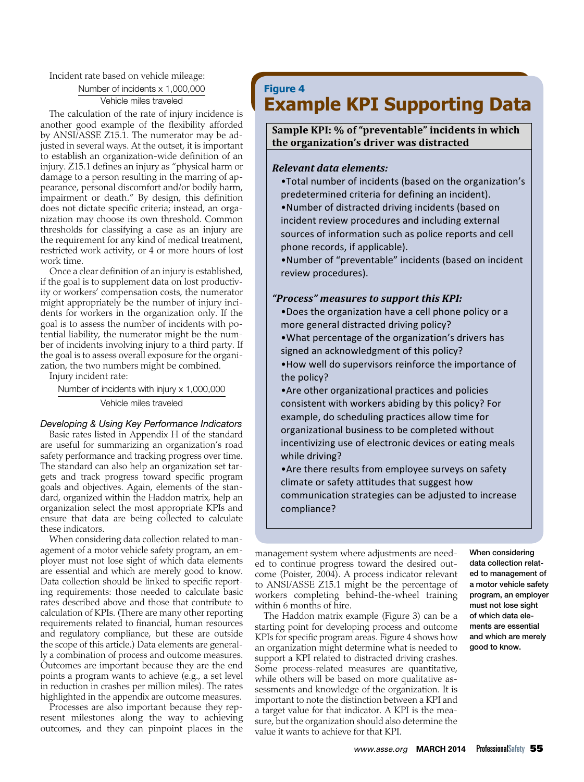#### Incident rate based on vehicle mileage: Number of incidents x 1,000,000 Vehicle miles traveled

The calculation of the rate of injury incidence is another good example of the fexibility afforded by ANSI/ASSE Z15.1. The numerator may be adjusted in several ways. At the outset, it is important to establish an organization-wide definition of an injury. Z15.1 defnes an injury as "physical harm or damage to a person resulting in the marring of appearance, personal discomfort and/or bodily harm, impairment or death." By design, this definition does not dictate specific criteria; instead, an organization may choose its own threshold. Common thresholds for classifying a case as an injury are the requirement for any kind of medical treatment, restricted work activity, or 4 or more hours of lost work time.

Once a clear definition of an injury is established, if the goal is to supplement data on lost productivity or workers' compensation costs, the numerator might appropriately be the number of injury incidents for workers in the organization only. If the goal is to assess the number of incidents with potential liability, the numerator might be the number of incidents involving injury to a third party. If the goal is to assess overall exposure for the organization, the two numbers might be combined.

Injury incident rate:

Number of incidents with injury x 1,000,000 Vehicle miles traveled

#### *Developing & Using Key Performance Indicators*

Basic rates listed in Appendix H of the standard are useful for summarizing an organization's road safety performance and tracking progress over time. The standard can also help an organization set targets and track progress toward specifc program goals and objectives. Again, elements of the standard, organized within the Haddon matrix, help an organization select the most appropriate KPIs and ensure that data are being collected to calculate these indicators.

When considering data collection related to management of a motor vehicle safety program, an employer must not lose sight of which data elements are essential and which are merely good to know. Data collection should be linked to specific reporting requirements: those needed to calculate basic rates described above and those that contribute to calculation of KPIs. (There are many other reporting requirements related to fnancial, human resources and regulatory compliance, but these are outside the scope of this article.) Data elements are generally a combination of process and outcome measures. Outcomes are important because they are the end points a program wants to achieve (e.g., a set level in reduction in crashes per million miles). The rates highlighted in the appendix are outcome measures.

Processes are also important because they represent milestones along the way to achieving outcomes, and they can pinpoint places in the

### **Figure 4 Example KPI Supporting Data**

#### **Sample 
 KPI: 
 % 
 of "preventable" incidents in which the organization's 
 driver 
 was 
 distracted**

#### *Relevant data elements:*

- . Total number of incidents (based on the organization's predetermined criteria for defining an incident).
- .Number of distracted driving incidents (based on incident review procedures and including external sources of information such as police reports and cell 

 phone records, if applicable).

.Number of "preventable" incidents (based on incident review procedures).

#### *"Process" measures 
 to support this 
 KPI:*

- . Does the organization have a cell phone policy or a more general distracted driving policy?
- •What percentage of the organization's drivers has signed an acknowledgment of this policy?
- How well do supervisors reinforce the importance of the policy?
- example, do scheduling practices allow time for organizational business to be completed without incentivizing use of electronic devices or eating meals • Are other organizational practices and policies consistent with workers abiding by this policy? For while driving?
- Are there results from employee surveys on safety climate or safety attitudes that suggest how communication strategies can be adjusted to increase compliance?

management system where adjustments are need- When considering ed to continue progress toward the desired out- data collection relatcome (Poister, 2004). A process indicator relevant ed to management of to ANSI/ASSE Z15.1 might be the percentage of a motor vehicle safety workers completing behind-the-wheel training program, an employer within 6 months of hire.<br>The Haddon matrix example (Figure 3) can be a **of which data ele-**

The Haddon matrix example (Figure 3) can be a starting point for developing process and outcome ments are essential KPIs for specific program areas. Figure 4 shows how and which are merely an organization might determine what is needed to good to know. support a KPI related to distracted driving crashes. Some process-related measures are quantitative, while others will be based on more qualitative assessments and knowledge of the organization. It is important to note the distinction between a KPI and a target value for that indicator. A KPI is the measure, but the organization should also determine the value it wants to achieve for that KPI.